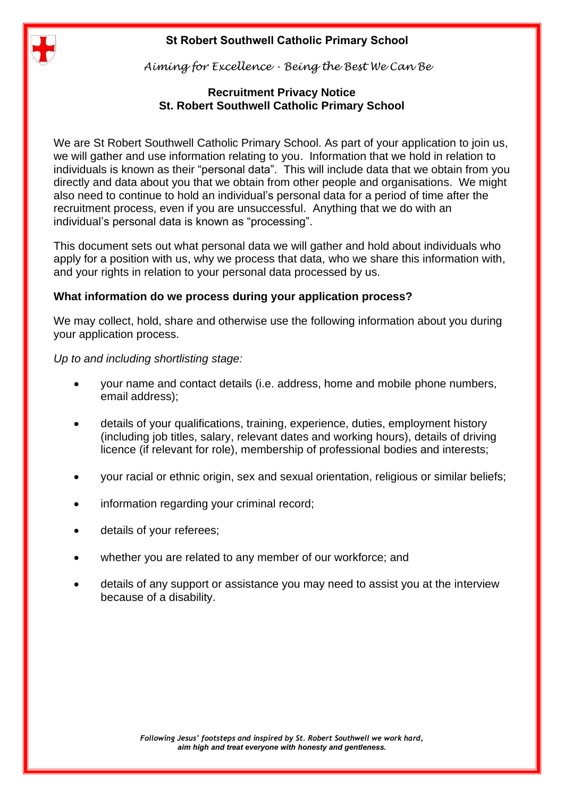# **St Robert Southwell Catholic Primary School**



*Aiming for Excellence - Being the Best We Can Be*

# **Recruitment Privacy Notice St. Robert Southwell Catholic Primary School**

We are St Robert Southwell Catholic Primary School. As part of your application to join us, we will gather and use information relating to you. Information that we hold in relation to individuals is known as their "personal data". This will include data that we obtain from you directly and data about you that we obtain from other people and organisations. We might also need to continue to hold an individual's personal data for a period of time after the recruitment process, even if you are unsuccessful. Anything that we do with an individual's personal data is known as "processing".

This document sets out what personal data we will gather and hold about individuals who apply for a position with us, why we process that data, who we share this information with, and your rights in relation to your personal data processed by us.

# **What information do we process during your application process?**

We may collect, hold, share and otherwise use the following information about you during your application process.

*Up to and including shortlisting stage:*

- your name and contact details (i.e. address, home and mobile phone numbers, email address);
- details of your qualifications, training, experience, duties, employment history (including job titles, salary, relevant dates and working hours), details of driving licence (if relevant for role), membership of professional bodies and interests;
- your racial or ethnic origin, sex and sexual orientation, religious or similar beliefs;
- information regarding your criminal record;
- details of your referees;
- whether you are related to any member of our workforce; and
- details of any support or assistance you may need to assist you at the interview because of a disability.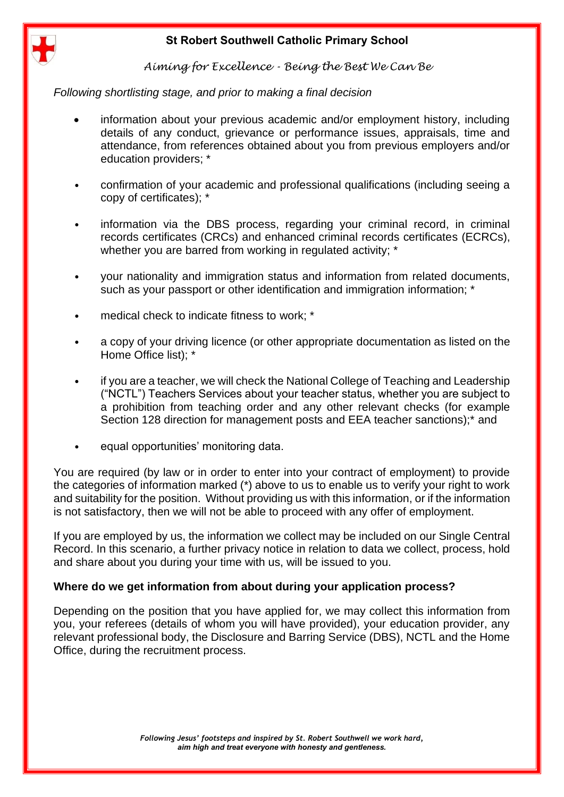# **St Robert Southwell Catholic Primary School**



*Aiming for Excellence - Being the Best We Can Be*

*Following shortlisting stage, and prior to making a final decision*

- information about your previous academic and/or employment history, including details of any conduct, grievance or performance issues, appraisals, time and attendance, from references obtained about you from previous employers and/or education providers; \*
- confirmation of your academic and professional qualifications (including seeing a copy of certificates); \*
- information via the DBS process, regarding your criminal record, in criminal records certificates (CRCs) and enhanced criminal records certificates (ECRCs), whether you are barred from working in regulated activity; \*
- your nationality and immigration status and information from related documents, such as your passport or other identification and immigration information: \*
- medical check to indicate fitness to work; \*
- a copy of your driving licence (or other appropriate documentation as listed on the Home Office list); \*
- if you are a teacher, we will check the National College of Teaching and Leadership ("NCTL") Teachers Services about your teacher status, whether you are subject to a prohibition from teaching order and any other relevant checks (for example Section 128 direction for management posts and EEA teacher sanctions);\* and
- equal opportunities' monitoring data.

You are required (by law or in order to enter into your contract of employment) to provide the categories of information marked (\*) above to us to enable us to verify your right to work and suitability for the position. Without providing us with this information, or if the information is not satisfactory, then we will not be able to proceed with any offer of employment.

If you are employed by us, the information we collect may be included on our Single Central Record. In this scenario, a further privacy notice in relation to data we collect, process, hold and share about you during your time with us, will be issued to you.

## **Where do we get information from about during your application process?**

Depending on the position that you have applied for, we may collect this information from you, your referees (details of whom you will have provided), your education provider, any relevant professional body, the Disclosure and Barring Service (DBS), NCTL and the Home Office, during the recruitment process.

> *Following Jesus' footsteps and inspired by St. Robert Southwell we work hard, aim high and treat everyone with honesty and gentleness.*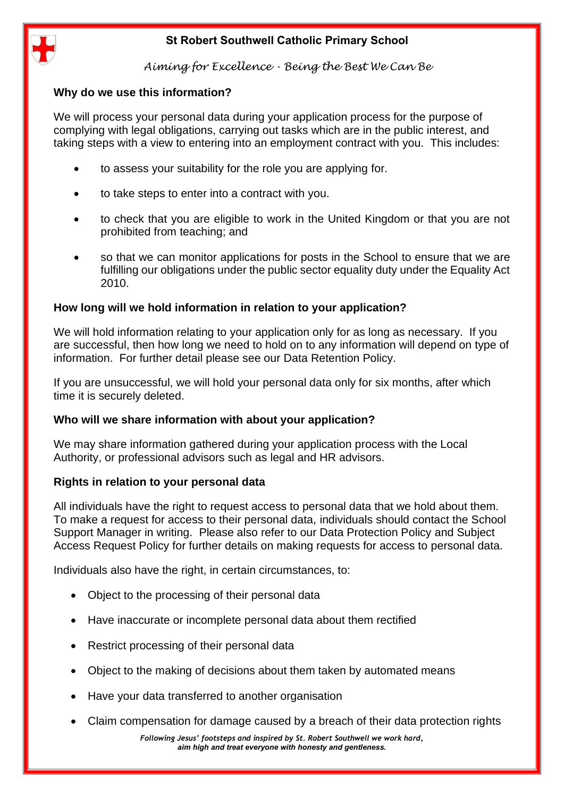



*Aiming for Excellence - Being the Best We Can Be*

## **Why do we use this information?**

We will process your personal data during your application process for the purpose of complying with legal obligations, carrying out tasks which are in the public interest, and taking steps with a view to entering into an employment contract with you. This includes:

- to assess your suitability for the role you are applying for.
- to take steps to enter into a contract with you.
- to check that you are eligible to work in the United Kingdom or that you are not prohibited from teaching; and
- so that we can monitor applications for posts in the School to ensure that we are fulfilling our obligations under the public sector equality duty under the Equality Act 2010.

### **How long will we hold information in relation to your application?**

We will hold information relating to your application only for as long as necessary. If you are successful, then how long we need to hold on to any information will depend on type of information. For further detail please see our Data Retention Policy.

If you are unsuccessful, we will hold your personal data only for six months, after which time it is securely deleted.

### **Who will we share information with about your application?**

We may share information gathered during your application process with the Local Authority, or professional advisors such as legal and HR advisors.

### **Rights in relation to your personal data**

All individuals have the right to request access to personal data that we hold about them. To make a request for access to their personal data, individuals should contact the School Support Manager in writing. Please also refer to our Data Protection Policy and Subject Access Request Policy for further details on making requests for access to personal data.

Individuals also have the right, in certain circumstances, to:

- Object to the processing of their personal data
- Have inaccurate or incomplete personal data about them rectified
- Restrict processing of their personal data
- Object to the making of decisions about them taken by automated means
- Have your data transferred to another organisation
- Claim compensation for damage caused by a breach of their data protection rights

*Following Jesus' footsteps and inspired by St. Robert Southwell we work hard, aim high and treat everyone with honesty and gentleness.*